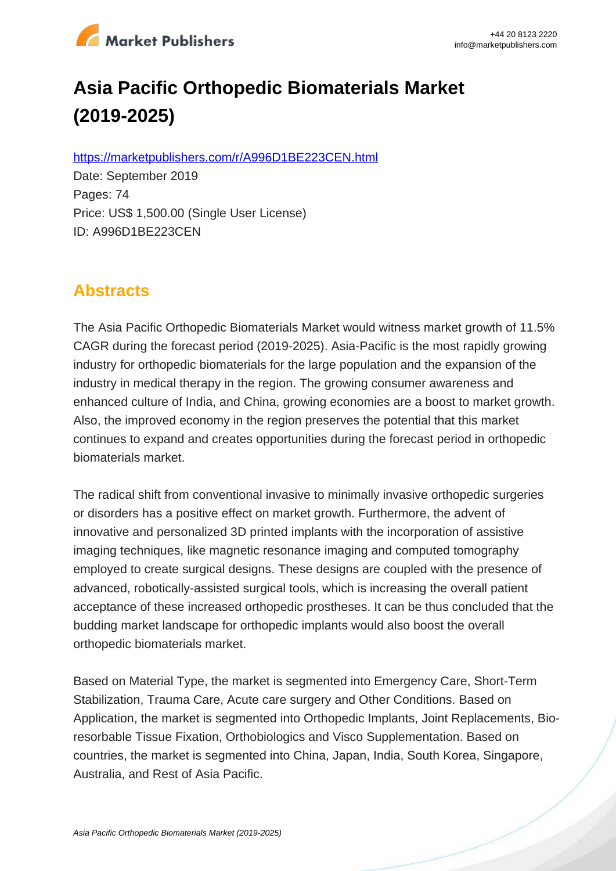

# **Asia Pacific Orthopedic Biomaterials Market (2019-2025)**

https://marketpublishers.com/r/A996D1BE223CEN.html

Date: September 2019 Pages: 74 Price: US\$ 1,500.00 (Single User License) ID: A996D1BE223CEN

# **Abstracts**

The Asia Pacific Orthopedic Biomaterials Market would witness market growth of 11.5% CAGR during the forecast period (2019-2025). Asia-Pacific is the most rapidly growing industry for orthopedic biomaterials for the large population and the expansion of the industry in medical therapy in the region. The growing consumer awareness and enhanced culture of India, and China, growing economies are a boost to market growth. Also, the improved economy in the region preserves the potential that this market continues to expand and creates opportunities during the forecast period in orthopedic biomaterials market.

The radical shift from conventional invasive to minimally invasive orthopedic surgeries or disorders has a positive effect on market growth. Furthermore, the advent of innovative and personalized 3D printed implants with the incorporation of assistive imaging techniques, like magnetic resonance imaging and computed tomography employed to create surgical designs. These designs are coupled with the presence of advanced, robotically-assisted surgical tools, which is increasing the overall patient acceptance of these increased orthopedic prostheses. It can be thus concluded that the budding market landscape for orthopedic implants would also boost the overall orthopedic biomaterials market.

Based on Material Type, the market is segmented into Emergency Care, Short-Term Stabilization, Trauma Care, Acute care surgery and Other Conditions. Based on Application, the market is segmented into Orthopedic Implants, Joint Replacements, Bioresorbable Tissue Fixation, Orthobiologics and Visco Supplementation. Based on countries, the market is segmented into China, Japan, India, South Korea, Singapore, Australia, and Rest of Asia Pacific.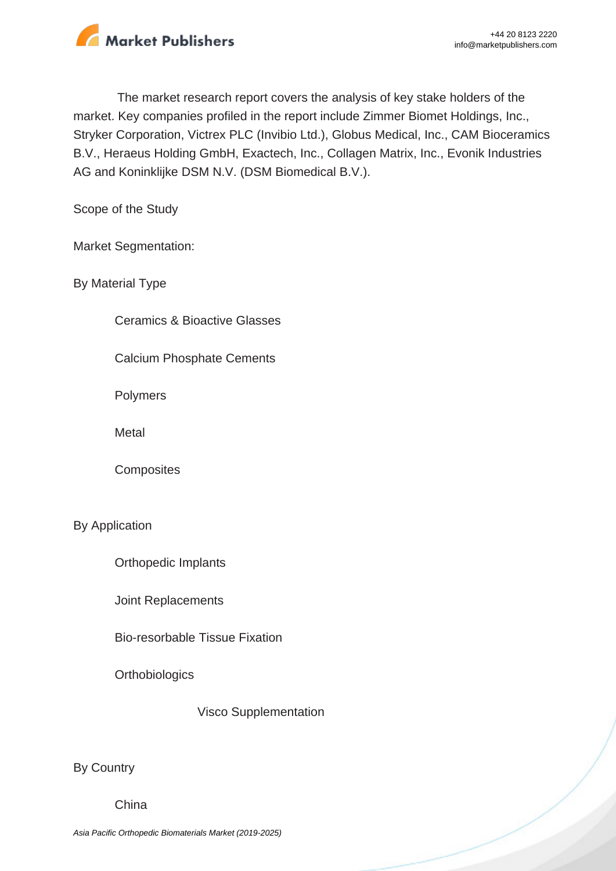

The market research report covers the analysis of key stake holders of the market. Key companies profiled in the report include Zimmer Biomet Holdings, Inc., Stryker Corporation, Victrex PLC (Invibio Ltd.), Globus Medical, Inc., CAM Bioceramics B.V., Heraeus Holding GmbH, Exactech, Inc., Collagen Matrix, Inc., Evonik Industries AG and Koninklijke DSM N.V. (DSM Biomedical B.V.).

Scope of the Study

Market Segmentation:

By Material Type

Ceramics & Bioactive Glasses

Calcium Phosphate Cements

Polymers

**Metal** 

**Composites** 

#### By Application

Orthopedic Implants

Joint Replacements

Bio-resorbable Tissue Fixation

**Orthobiologics** 

Visco Supplementation

By Country

China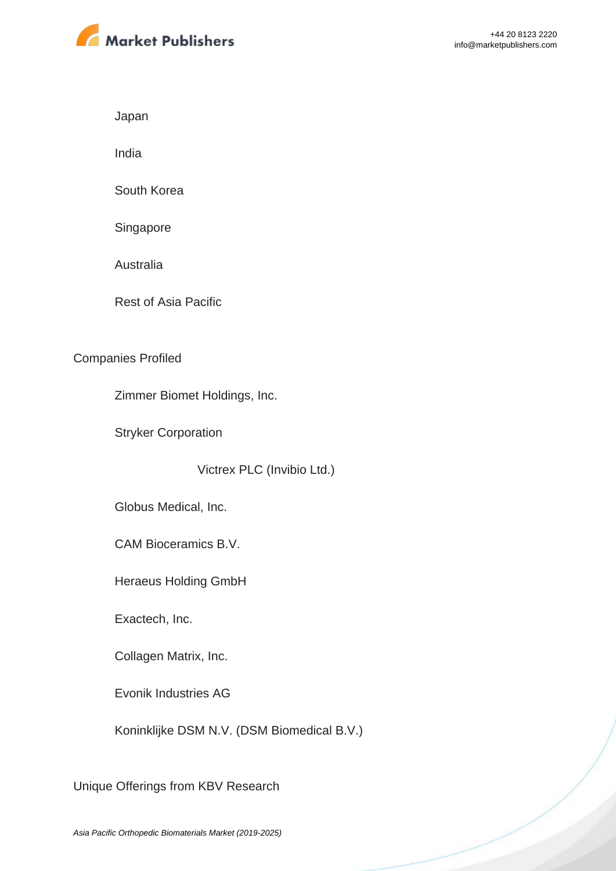

Japan

India

South Korea

Singapore

Australia

Rest of Asia Pacific

#### Companies Profiled

Zimmer Biomet Holdings, Inc.

Stryker Corporation

Victrex PLC (Invibio Ltd.)

Globus Medical, Inc.

CAM Bioceramics B.V.

Heraeus Holding GmbH

Exactech, Inc.

Collagen Matrix, Inc.

Evonik Industries AG

Koninklijke DSM N.V. (DSM Biomedical B.V.)

Unique Offerings from KBV Research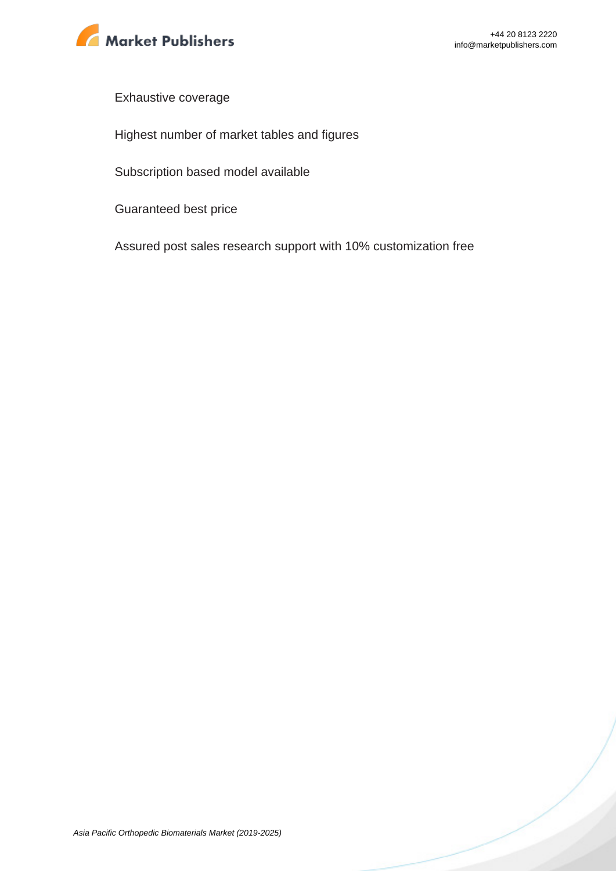

Exhaustive coverage

Highest number of market tables and figures

Subscription based model available

Guaranteed best price

Assured post sales research support with 10% customization free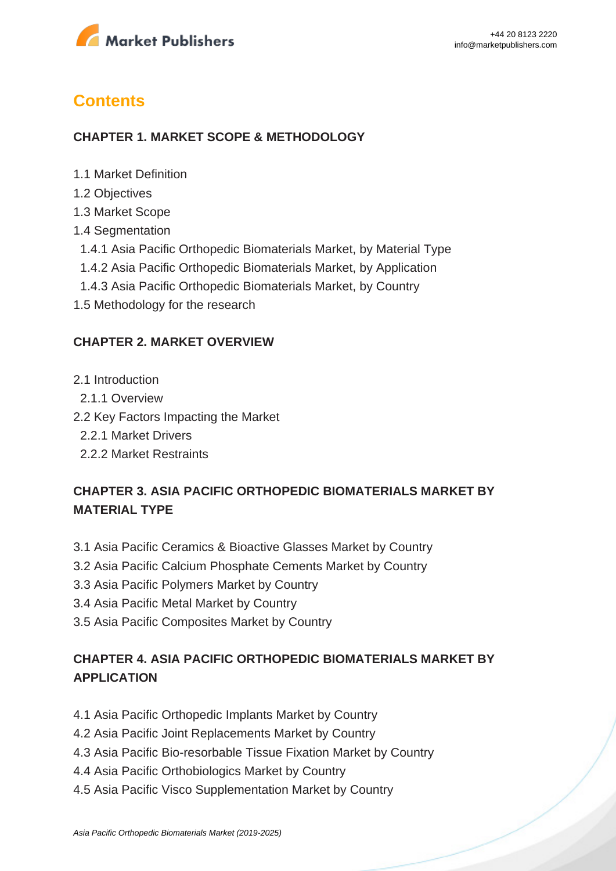

# **Contents**

#### **CHAPTER 1. MARKET SCOPE & METHODOLOGY**

- 1.1 Market Definition
- 1.2 Objectives
- 1.3 Market Scope
- 1.4 Segmentation
- 1.4.1 Asia Pacific Orthopedic Biomaterials Market, by Material Type
- 1.4.2 Asia Pacific Orthopedic Biomaterials Market, by Application
- 1.4.3 Asia Pacific Orthopedic Biomaterials Market, by Country
- 1.5 Methodology for the research

#### **CHAPTER 2. MARKET OVERVIEW**

- 2.1 Introduction
- 2.1.1 Overview
- 2.2 Key Factors Impacting the Market
	- 2.2.1 Market Drivers
	- 2.2.2 Market Restraints

### **CHAPTER 3. ASIA PACIFIC ORTHOPEDIC BIOMATERIALS MARKET BY MATERIAL TYPE**

- 3.1 Asia Pacific Ceramics & Bioactive Glasses Market by Country
- 3.2 Asia Pacific Calcium Phosphate Cements Market by Country
- 3.3 Asia Pacific Polymers Market by Country
- 3.4 Asia Pacific Metal Market by Country
- 3.5 Asia Pacific Composites Market by Country

## **CHAPTER 4. ASIA PACIFIC ORTHOPEDIC BIOMATERIALS MARKET BY APPLICATION**

- 4.1 Asia Pacific Orthopedic Implants Market by Country
- 4.2 Asia Pacific Joint Replacements Market by Country
- 4.3 Asia Pacific Bio-resorbable Tissue Fixation Market by Country
- 4.4 Asia Pacific Orthobiologics Market by Country
- 4.5 Asia Pacific Visco Supplementation Market by Country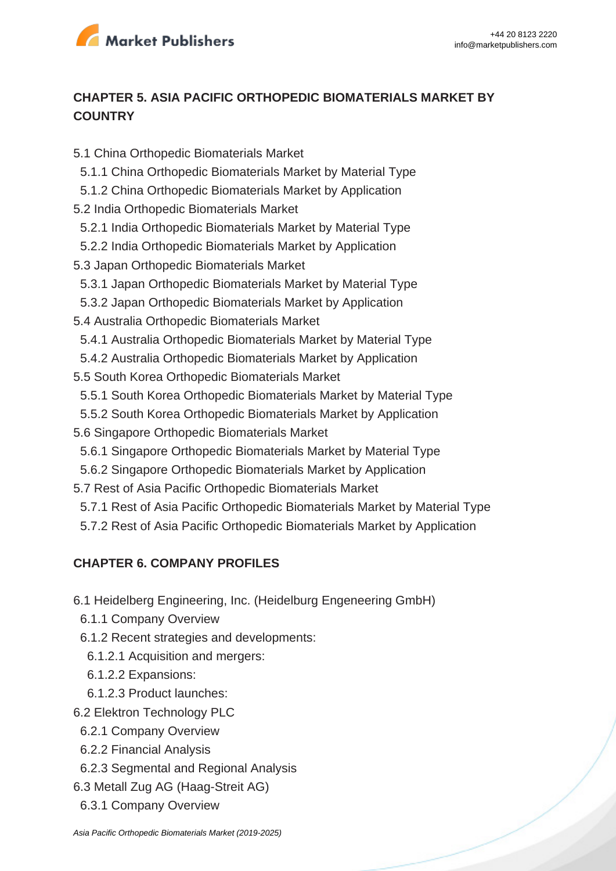

### **CHAPTER 5. ASIA PACIFIC ORTHOPEDIC BIOMATERIALS MARKET BY COUNTRY**

- 5.1 China Orthopedic Biomaterials Market 5.1.1 China Orthopedic Biomaterials Market by Material Type 5.1.2 China Orthopedic Biomaterials Market by Application 5.2 India Orthopedic Biomaterials Market 5.2.1 India Orthopedic Biomaterials Market by Material Type 5.2.2 India Orthopedic Biomaterials Market by Application 5.3 Japan Orthopedic Biomaterials Market 5.3.1 Japan Orthopedic Biomaterials Market by Material Type 5.3.2 Japan Orthopedic Biomaterials Market by Application 5.4 Australia Orthopedic Biomaterials Market 5.4.1 Australia Orthopedic Biomaterials Market by Material Type 5.4.2 Australia Orthopedic Biomaterials Market by Application 5.5 South Korea Orthopedic Biomaterials Market 5.5.1 South Korea Orthopedic Biomaterials Market by Material Type 5.5.2 South Korea Orthopedic Biomaterials Market by Application 5.6 Singapore Orthopedic Biomaterials Market 5.6.1 Singapore Orthopedic Biomaterials Market by Material Type
	- 5.6.2 Singapore Orthopedic Biomaterials Market by Application
- 5.7 Rest of Asia Pacific Orthopedic Biomaterials Market
- 5.7.1 Rest of Asia Pacific Orthopedic Biomaterials Market by Material Type
- 5.7.2 Rest of Asia Pacific Orthopedic Biomaterials Market by Application

### **CHAPTER 6. COMPANY PROFILES**

- 6.1 Heidelberg Engineering, Inc. (Heidelburg Engeneering GmbH)
- 6.1.1 Company Overview
- 6.1.2 Recent strategies and developments:
- 6.1.2.1 Acquisition and mergers:
- 6.1.2.2 Expansions:
- 6.1.2.3 Product launches:
- 6.2 Elektron Technology PLC
	- 6.2.1 Company Overview
	- 6.2.2 Financial Analysis
	- 6.2.3 Segmental and Regional Analysis
- 6.3 Metall Zug AG (Haag-Streit AG)
- 6.3.1 Company Overview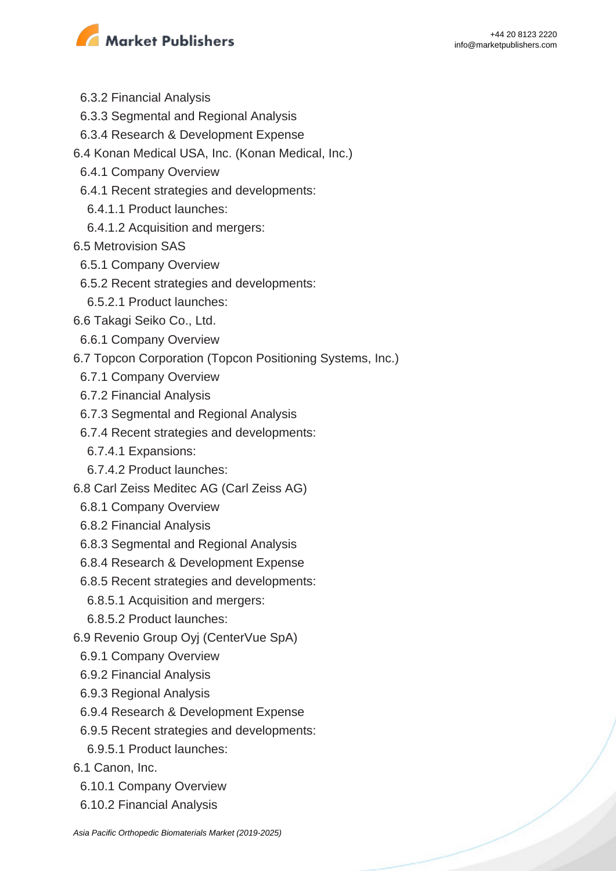

- 6.3.2 Financial Analysis
- 6.3.3 Segmental and Regional Analysis
- 6.3.4 Research & Development Expense
- 6.4 Konan Medical USA, Inc. (Konan Medical, Inc.)
- 6.4.1 Company Overview
- 6.4.1 Recent strategies and developments:
	- 6.4.1.1 Product launches:
	- 6.4.1.2 Acquisition and mergers:
- 6.5 Metrovision SAS
- 6.5.1 Company Overview
- 6.5.2 Recent strategies and developments:
- 6.5.2.1 Product launches:
- 6.6 Takagi Seiko Co., Ltd.
- 6.6.1 Company Overview
- 6.7 Topcon Corporation (Topcon Positioning Systems, Inc.)
- 6.7.1 Company Overview
- 6.7.2 Financial Analysis
- 6.7.3 Segmental and Regional Analysis
- 6.7.4 Recent strategies and developments:
- 6.7.4.1 Expansions:
- 6.7.4.2 Product launches:
- 6.8 Carl Zeiss Meditec AG (Carl Zeiss AG)
	- 6.8.1 Company Overview
	- 6.8.2 Financial Analysis
	- 6.8.3 Segmental and Regional Analysis
	- 6.8.4 Research & Development Expense
	- 6.8.5 Recent strategies and developments:
	- 6.8.5.1 Acquisition and mergers:
	- 6.8.5.2 Product launches:
- 6.9 Revenio Group Oyj (CenterVue SpA)
	- 6.9.1 Company Overview
	- 6.9.2 Financial Analysis
	- 6.9.3 Regional Analysis
	- 6.9.4 Research & Development Expense
	- 6.9.5 Recent strategies and developments:
	- 6.9.5.1 Product launches:
- 6.1 Canon, Inc.
	- 6.10.1 Company Overview
	- 6.10.2 Financial Analysis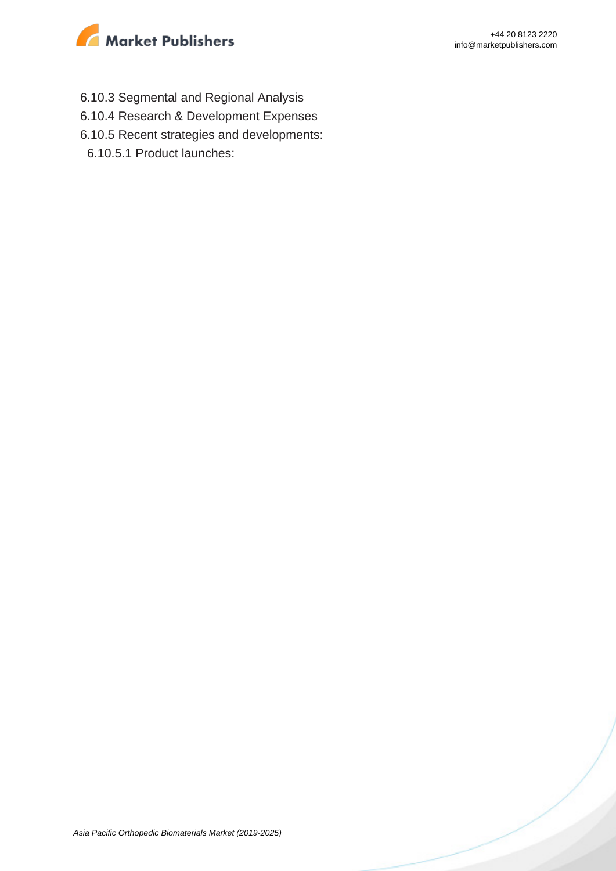

- 6.10.3 Segmental and Regional Analysis
- 6.10.4 Research & Development Expenses
- 6.10.5 Recent strategies and developments:
	- 6.10.5.1 Product launches: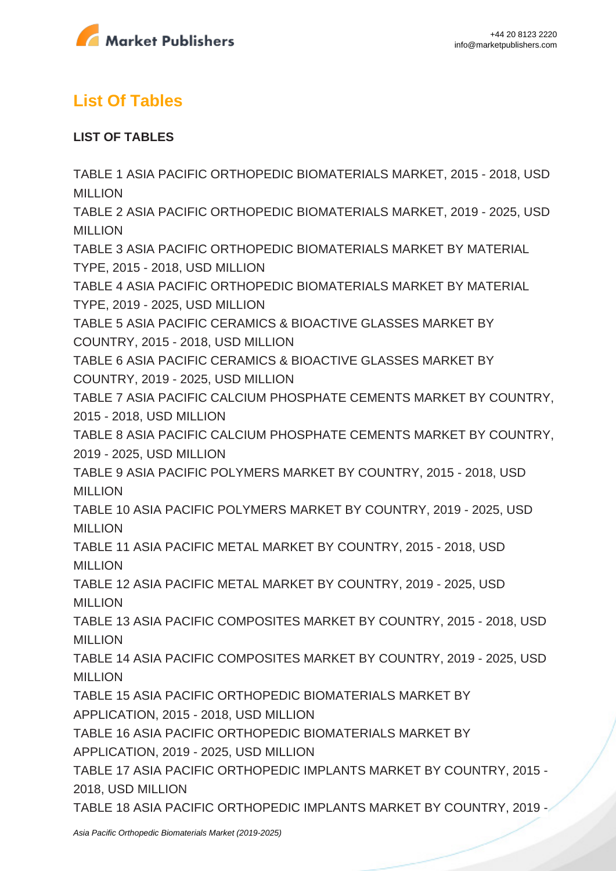

# **List Of Tables**

### **LIST OF TABLES**

TABLE 1 ASIA PACIFIC ORTHOPEDIC BIOMATERIALS MARKET, 2015 - 2018, USD **MILLION** TABLE 2 ASIA PACIFIC ORTHOPEDIC BIOMATERIALS MARKET, 2019 - 2025, USD MILLION TABLE 3 ASIA PACIFIC ORTHOPEDIC BIOMATERIALS MARKET BY MATERIAL TYPE, 2015 - 2018, USD MILLION TABLE 4 ASIA PACIFIC ORTHOPEDIC BIOMATERIALS MARKET BY MATERIAL TYPE, 2019 - 2025, USD MILLION TABLE 5 ASIA PACIFIC CERAMICS & BIOACTIVE GLASSES MARKET BY COUNTRY, 2015 - 2018, USD MILLION TABLE 6 ASIA PACIFIC CERAMICS & BIOACTIVE GLASSES MARKET BY COUNTRY, 2019 - 2025, USD MILLION TABLE 7 ASIA PACIFIC CALCIUM PHOSPHATE CEMENTS MARKET BY COUNTRY, 2015 - 2018, USD MILLION TABLE 8 ASIA PACIFIC CALCIUM PHOSPHATE CEMENTS MARKET BY COUNTRY, 2019 - 2025, USD MILLION TABLE 9 ASIA PACIFIC POLYMERS MARKET BY COUNTRY, 2015 - 2018, USD MILLION TABLE 10 ASIA PACIFIC POLYMERS MARKET BY COUNTRY, 2019 - 2025, USD MILLION TABLE 11 ASIA PACIFIC METAL MARKET BY COUNTRY, 2015 - 2018, USD **MILLION** TABLE 12 ASIA PACIFIC METAL MARKET BY COUNTRY, 2019 - 2025, USD MILLION TABLE 13 ASIA PACIFIC COMPOSITES MARKET BY COUNTRY, 2015 - 2018, USD **MILLION** TABLE 14 ASIA PACIFIC COMPOSITES MARKET BY COUNTRY, 2019 - 2025, USD **MILLION** TABLE 15 ASIA PACIFIC ORTHOPEDIC BIOMATERIALS MARKET BY APPLICATION, 2015 - 2018, USD MILLION TABLE 16 ASIA PACIFIC ORTHOPEDIC BIOMATERIALS MARKET BY APPLICATION, 2019 - 2025, USD MILLION TABLE 17 ASIA PACIFIC ORTHOPEDIC IMPLANTS MARKET BY COUNTRY, 2015 - 2018, USD MILLION TABLE 18 ASIA PACIFIC ORTHOPEDIC IMPLANTS MARKET BY COUNTRY, 2019 -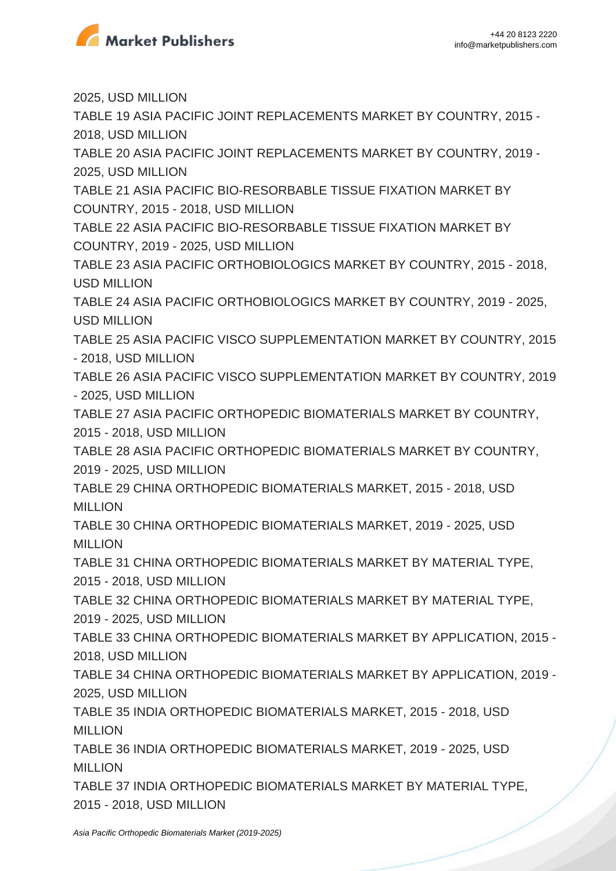

2025, USD MILLION TABLE 19 ASIA PACIFIC JOINT REPLACEMENTS MARKET BY COUNTRY, 2015 - 2018, USD MILLION TABLE 20 ASIA PACIFIC JOINT REPLACEMENTS MARKET BY COUNTRY, 2019 - 2025, USD MILLION TABLE 21 ASIA PACIFIC BIO-RESORBABLE TISSUE FIXATION MARKET BY COUNTRY, 2015 - 2018, USD MILLION TABLE 22 ASIA PACIFIC BIO-RESORBABLE TISSUE FIXATION MARKET BY COUNTRY, 2019 - 2025, USD MILLION TABLE 23 ASIA PACIFIC ORTHOBIOLOGICS MARKET BY COUNTRY, 2015 - 2018, USD MILLION TABLE 24 ASIA PACIFIC ORTHOBIOLOGICS MARKET BY COUNTRY, 2019 - 2025, USD MILLION TABLE 25 ASIA PACIFIC VISCO SUPPLEMENTATION MARKET BY COUNTRY, 2015 - 2018, USD MILLION TABLE 26 ASIA PACIFIC VISCO SUPPLEMENTATION MARKET BY COUNTRY, 2019 - 2025, USD MILLION TABLE 27 ASIA PACIFIC ORTHOPEDIC BIOMATERIALS MARKET BY COUNTRY, 2015 - 2018, USD MILLION TABLE 28 ASIA PACIFIC ORTHOPEDIC BIOMATERIALS MARKET BY COUNTRY, 2019 - 2025, USD MILLION TABLE 29 CHINA ORTHOPEDIC BIOMATERIALS MARKET, 2015 - 2018, USD MILLION TABLE 30 CHINA ORTHOPEDIC BIOMATERIALS MARKET, 2019 - 2025, USD MILLION TABLE 31 CHINA ORTHOPEDIC BIOMATERIALS MARKET BY MATERIAL TYPE, 2015 - 2018, USD MILLION TABLE 32 CHINA ORTHOPEDIC BIOMATERIALS MARKET BY MATERIAL TYPE, 2019 - 2025, USD MILLION TABLE 33 CHINA ORTHOPEDIC BIOMATERIALS MARKET BY APPLICATION, 2015 - 2018, USD MILLION TABLE 34 CHINA ORTHOPEDIC BIOMATERIALS MARKET BY APPLICATION, 2019 - 2025, USD MILLION TABLE 35 INDIA ORTHOPEDIC BIOMATERIALS MARKET, 2015 - 2018, USD **MILLION** TABLE 36 INDIA ORTHOPEDIC BIOMATERIALS MARKET, 2019 - 2025, USD **MILLION** TABLE 37 INDIA ORTHOPEDIC BIOMATERIALS MARKET BY MATERIAL TYPE, 2015 - 2018, USD MILLION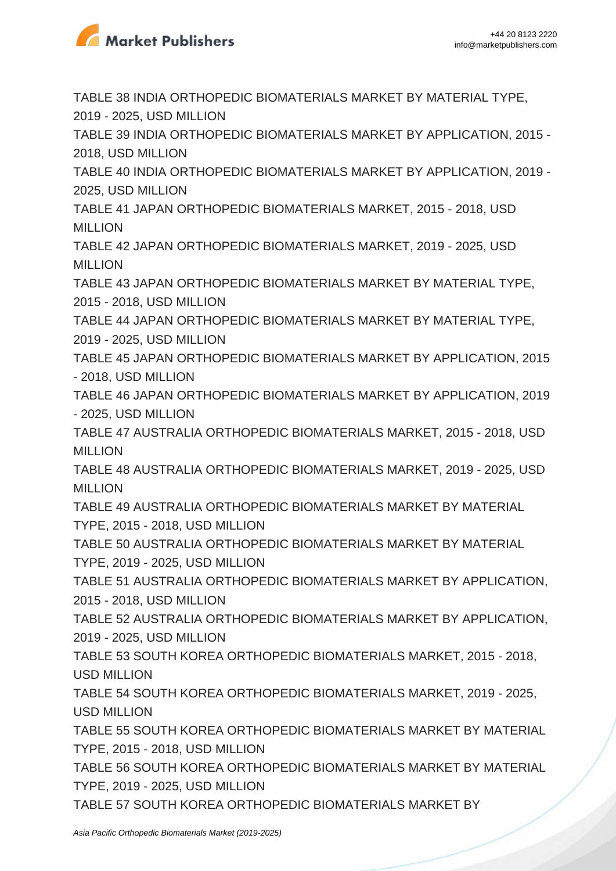

TABLE 38 INDIA ORTHOPEDIC BIOMATERIALS MARKET BY MATERIAL TYPE, 2019 - 2025, USD MILLION

TABLE 39 INDIA ORTHOPEDIC BIOMATERIALS MARKET BY APPLICATION, 2015 - 2018, USD MILLION

TABLE 40 INDIA ORTHOPEDIC BIOMATERIALS MARKET BY APPLICATION, 2019 - 2025, USD MILLION

TABLE 41 JAPAN ORTHOPEDIC BIOMATERIALS MARKET, 2015 - 2018, USD MILLION

TABLE 42 JAPAN ORTHOPEDIC BIOMATERIALS MARKET, 2019 - 2025, USD **MILLION** 

TABLE 43 JAPAN ORTHOPEDIC BIOMATERIALS MARKET BY MATERIAL TYPE, 2015 - 2018, USD MILLION

TABLE 44 JAPAN ORTHOPEDIC BIOMATERIALS MARKET BY MATERIAL TYPE, 2019 - 2025, USD MILLION

TABLE 45 JAPAN ORTHOPEDIC BIOMATERIALS MARKET BY APPLICATION, 2015 - 2018, USD MILLION

TABLE 46 JAPAN ORTHOPEDIC BIOMATERIALS MARKET BY APPLICATION, 2019 - 2025, USD MILLION

TABLE 47 AUSTRALIA ORTHOPEDIC BIOMATERIALS MARKET, 2015 - 2018, USD MILLION

TABLE 48 AUSTRALIA ORTHOPEDIC BIOMATERIALS MARKET, 2019 - 2025, USD MILLION

TABLE 49 AUSTRALIA ORTHOPEDIC BIOMATERIALS MARKET BY MATERIAL TYPE, 2015 - 2018, USD MILLION

TABLE 50 AUSTRALIA ORTHOPEDIC BIOMATERIALS MARKET BY MATERIAL

TYPE, 2019 - 2025, USD MILLION

TABLE 51 AUSTRALIA ORTHOPEDIC BIOMATERIALS MARKET BY APPLICATION, 2015 - 2018, USD MILLION

TABLE 52 AUSTRALIA ORTHOPEDIC BIOMATERIALS MARKET BY APPLICATION, 2019 - 2025, USD MILLION

TABLE 53 SOUTH KOREA ORTHOPEDIC BIOMATERIALS MARKET, 2015 - 2018, USD MILLION

TABLE 54 SOUTH KOREA ORTHOPEDIC BIOMATERIALS MARKET, 2019 - 2025, USD MILLION

TABLE 55 SOUTH KOREA ORTHOPEDIC BIOMATERIALS MARKET BY MATERIAL TYPE, 2015 - 2018, USD MILLION

TABLE 56 SOUTH KOREA ORTHOPEDIC BIOMATERIALS MARKET BY MATERIAL TYPE, 2019 - 2025, USD MILLION

TABLE 57 SOUTH KOREA ORTHOPEDIC BIOMATERIALS MARKET BY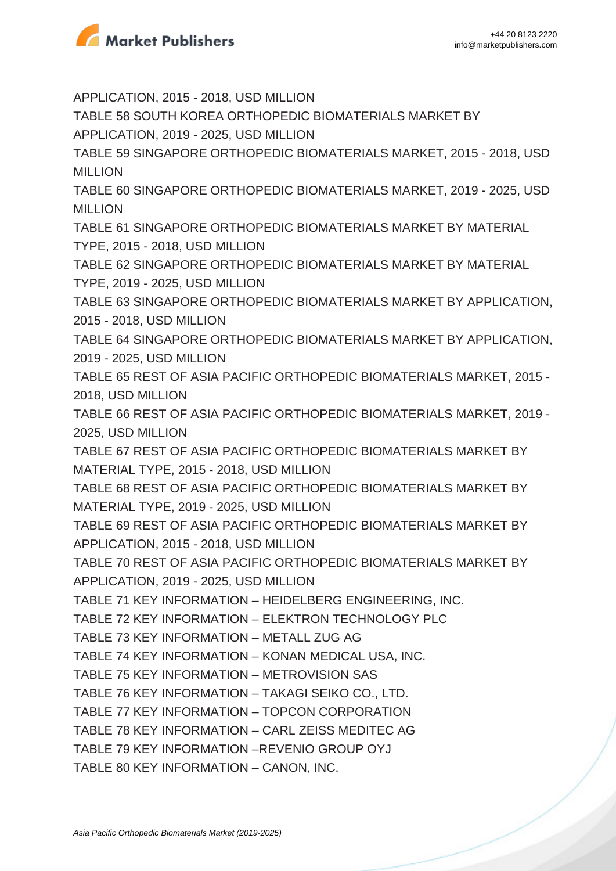

APPLICATION, 2015 - 2018, USD MILLION TABLE 58 SOUTH KOREA ORTHOPEDIC BIOMATERIALS MARKET BY APPLICATION, 2019 - 2025, USD MILLION TABLE 59 SINGAPORE ORTHOPEDIC BIOMATERIALS MARKET, 2015 - 2018, USD MILLION TABLE 60 SINGAPORE ORTHOPEDIC BIOMATERIALS MARKET, 2019 - 2025, USD MILLION TABLE 61 SINGAPORE ORTHOPEDIC BIOMATERIALS MARKET BY MATERIAL TYPE, 2015 - 2018, USD MILLION TABLE 62 SINGAPORE ORTHOPEDIC BIOMATERIALS MARKET BY MATERIAL TYPE, 2019 - 2025, USD MILLION TABLE 63 SINGAPORE ORTHOPEDIC BIOMATERIALS MARKET BY APPLICATION, 2015 - 2018, USD MILLION TABLE 64 SINGAPORE ORTHOPEDIC BIOMATERIALS MARKET BY APPLICATION, 2019 - 2025, USD MILLION TABLE 65 REST OF ASIA PACIFIC ORTHOPEDIC BIOMATERIALS MARKET, 2015 - 2018, USD MILLION TABLE 66 REST OF ASIA PACIFIC ORTHOPEDIC BIOMATERIALS MARKET, 2019 - 2025, USD MILLION TABLE 67 REST OF ASIA PACIFIC ORTHOPEDIC BIOMATERIALS MARKET BY MATERIAL TYPE, 2015 - 2018, USD MILLION TABLE 68 REST OF ASIA PACIFIC ORTHOPEDIC BIOMATERIALS MARKET BY MATERIAL TYPE, 2019 - 2025, USD MILLION TABLE 69 REST OF ASIA PACIFIC ORTHOPEDIC BIOMATERIALS MARKET BY APPLICATION, 2015 - 2018, USD MILLION TABLE 70 REST OF ASIA PACIFIC ORTHOPEDIC BIOMATERIALS MARKET BY APPLICATION, 2019 - 2025, USD MILLION TABLE 71 KEY INFORMATION – HEIDELBERG ENGINEERING, INC. TABLE 72 KEY INFORMATION – ELEKTRON TECHNOLOGY PLC TABLE 73 KEY INFORMATION – METALL ZUG AG TABLE 74 KEY INFORMATION – KONAN MEDICAL USA, INC. TABLE 75 KEY INFORMATION – METROVISION SAS TABLE 76 KEY INFORMATION – TAKAGI SEIKO CO., LTD. TABLE 77 KEY INFORMATION – TOPCON CORPORATION TABLE 78 KEY INFORMATION – CARL ZEISS MEDITEC AG TABLE 79 KEY INFORMATION –REVENIO GROUP OYJ TABLE 80 KEY INFORMATION – CANON, INC.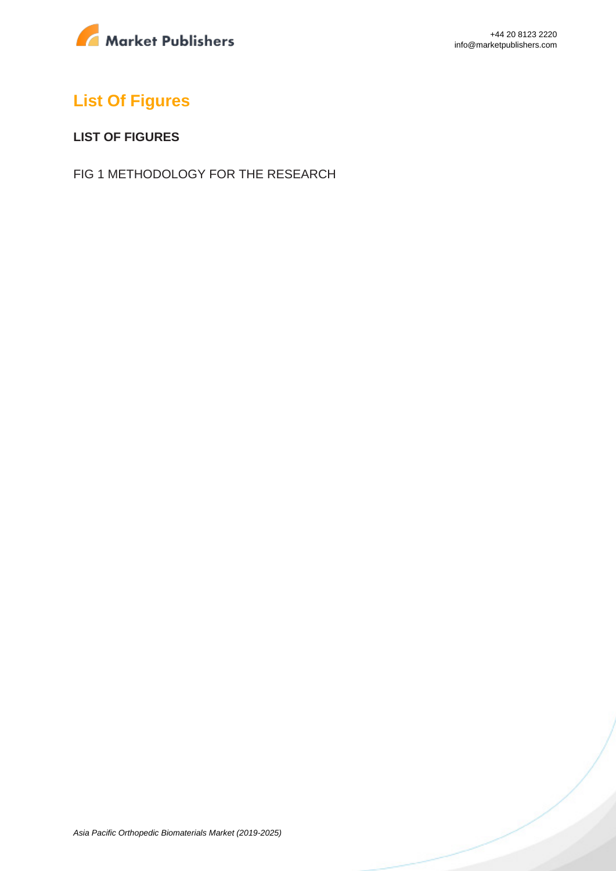

# **List Of Figures**

#### **LIST OF FIGURES**

FIG 1 METHODOLOGY FOR THE RESEARCH